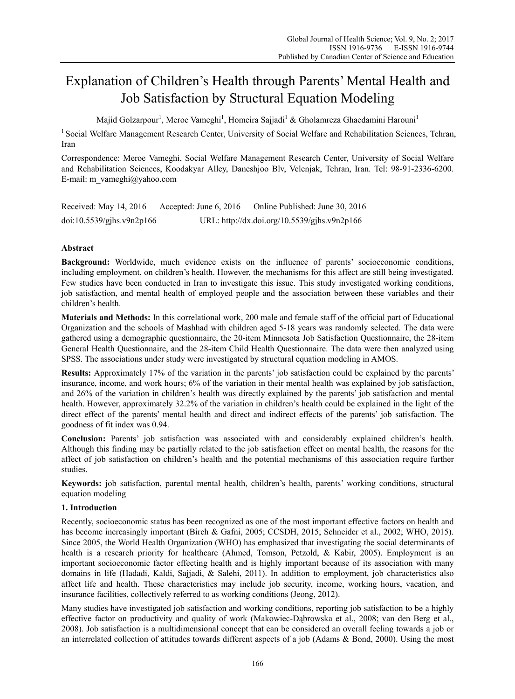# Explanation of Children's Health through Parents' Mental Health and Job Satisfaction by Structural Equation Modeling

Majid Golzarpour<sup>1</sup>, Meroe Vameghi<sup>1</sup>, Homeira Sajjadi<sup>1</sup> & Gholamreza Ghaedamini Harouni<sup>1</sup>

<sup>1</sup> Social Welfare Management Research Center, University of Social Welfare and Rehabilitation Sciences, Tehran, Iran

Correspondence: Meroe Vameghi, Social Welfare Management Research Center, University of Social Welfare and Rehabilitation Sciences, Koodakyar Alley, Daneshjoo Blv, Velenjak, Tehran, Iran. Tel: 98-91-2336-6200. E-mail: m\_vameghi@yahoo.com

Received: May 14, 2016 Accepted: June 6, 2016 Online Published: June 30, 2016 doi:10.5539/gjhs.v9n2p166 URL: http://dx.doi.org/10.5539/gjhs.v9n2p166

# **Abstract**

**Background:** Worldwide, much evidence exists on the influence of parents' socioeconomic conditions, including employment, on children's health. However, the mechanisms for this affect are still being investigated. Few studies have been conducted in Iran to investigate this issue. This study investigated working conditions, job satisfaction, and mental health of employed people and the association between these variables and their children's health.

**Materials and Methods:** In this correlational work, 200 male and female staff of the official part of Educational Organization and the schools of Mashhad with children aged 5-18 years was randomly selected. The data were gathered using a demographic questionnaire, the 20-item Minnesota Job Satisfaction Questionnaire, the 28-item General Health Questionnaire, and the 28-item Child Health Questionnaire. The data were then analyzed using SPSS. The associations under study were investigated by structural equation modeling in AMOS.

**Results:** Approximately 17% of the variation in the parents' job satisfaction could be explained by the parents' insurance, income, and work hours; 6% of the variation in their mental health was explained by job satisfaction, and 26% of the variation in children's health was directly explained by the parents' job satisfaction and mental health. However, approximately 32.2% of the variation in children's health could be explained in the light of the direct effect of the parents' mental health and direct and indirect effects of the parents' job satisfaction. The goodness of fit index was 0.94.

**Conclusion:** Parents' job satisfaction was associated with and considerably explained children's health. Although this finding may be partially related to the job satisfaction effect on mental health, the reasons for the affect of job satisfaction on children's health and the potential mechanisms of this association require further studies.

**Keywords:** job satisfaction, parental mental health, children's health, parents' working conditions, structural equation modeling

# **1. Introduction**

Recently, socioeconomic status has been recognized as one of the most important effective factors on health and has become increasingly important (Birch & Gafni, 2005; CCSDH, 2015; Schneider et al., 2002; WHO, 2015). Since 2005, the World Health Organization (WHO) has emphasized that investigating the social determinants of health is a research priority for healthcare (Ahmed, Tomson, Petzold, & Kabir, 2005). Employment is an important socioeconomic factor effecting health and is highly important because of its association with many domains in life (Hadadi, Kaldi, Sajjadi, & Salehi, 2011). In addition to employment, job characteristics also affect life and health. These characteristics may include job security, income, working hours, vacation, and insurance facilities, collectively referred to as working conditions (Jeong, 2012).

Many studies have investigated job satisfaction and working conditions, reporting job satisfaction to be a highly effective factor on productivity and quality of work (Makowiec-Dąbrowska et al., 2008; van den Berg et al., 2008). Job satisfaction is a multidimensional concept that can be considered an overall feeling towards a job or an interrelated collection of attitudes towards different aspects of a job (Adams & Bond, 2000). Using the most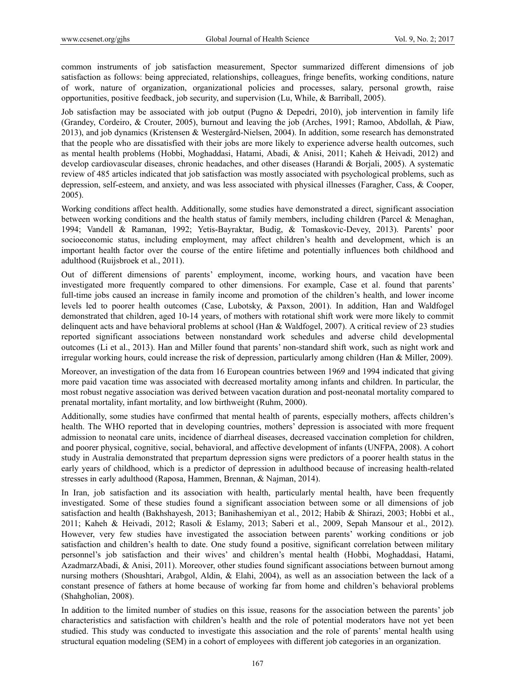common instruments of job satisfaction measurement, Spector summarized different dimensions of job satisfaction as follows: being appreciated, relationships, colleagues, fringe benefits, working conditions, nature of work, nature of organization, organizational policies and processes, salary, personal growth, raise opportunities, positive feedback, job security, and supervision (Lu, While, & Barriball, 2005).

Job satisfaction may be associated with job output (Pugno & Depedri, 2010), job intervention in family life (Grandey, Cordeiro, & Crouter, 2005), burnout and leaving the job (Arches, 1991; Ramoo, Abdollah, & Piaw, 2013), and job dynamics (Kristensen & Westergård-Nielsen, 2004). In addition, some research has demonstrated that the people who are dissatisfied with their jobs are more likely to experience adverse health outcomes, such as mental health problems (Hobbi, Moghaddasi, Hatami, Abadi, & Anisi, 2011; Kaheh & Heivadi, 2012) and develop cardiovascular diseases, chronic headaches, and other diseases (Harandi & Borjali, 2005). A systematic review of 485 articles indicated that job satisfaction was mostly associated with psychological problems, such as depression, self-esteem, and anxiety, and was less associated with physical illnesses (Faragher, Cass, & Cooper, 2005).

Working conditions affect health. Additionally, some studies have demonstrated a direct, significant association between working conditions and the health status of family members, including children (Parcel & Menaghan, 1994; Vandell & Ramanan, 1992; Yetis-Bayraktar, Budig, & Tomaskovic-Devey, 2013). Parents' poor socioeconomic status, including employment, may affect children's health and development, which is an important health factor over the course of the entire lifetime and potentially influences both childhood and adulthood (Ruijsbroek et al., 2011).

Out of different dimensions of parents' employment, income, working hours, and vacation have been investigated more frequently compared to other dimensions. For example, Case et al. found that parents' full-time jobs caused an increase in family income and promotion of the children's health, and lower income levels led to poorer health outcomes (Case, Lubotsky, & Paxson, 2001). In addition, Han and Waldfogel demonstrated that children, aged 10-14 years, of mothers with rotational shift work were more likely to commit delinquent acts and have behavioral problems at school (Han & Waldfogel, 2007). A critical review of 23 studies reported significant associations between nonstandard work schedules and adverse child developmental outcomes (Li et al., 2013). Han and Miller found that parents' non-standard shift work, such as night work and irregular working hours, could increase the risk of depression, particularly among children (Han & Miller, 2009).

Moreover, an investigation of the data from 16 European countries between 1969 and 1994 indicated that giving more paid vacation time was associated with decreased mortality among infants and children. In particular, the most robust negative association was derived between vacation duration and post-neonatal mortality compared to prenatal mortality, infant mortality, and low birthweight (Ruhm, 2000).

Additionally, some studies have confirmed that mental health of parents, especially mothers, affects children's health. The WHO reported that in developing countries, mothers' depression is associated with more frequent admission to neonatal care units, incidence of diarrheal diseases, decreased vaccination completion for children, and poorer physical, cognitive, social, behavioral, and affective development of infants (UNFPA, 2008). A cohort study in Australia demonstrated that prepartum depression signs were predictors of a poorer health status in the early years of childhood, which is a predictor of depression in adulthood because of increasing health-related stresses in early adulthood (Raposa, Hammen, Brennan, & Najman, 2014).

In Iran, job satisfaction and its association with health, particularly mental health, have been frequently investigated. Some of these studies found a significant association between some or all dimensions of job satisfaction and health (Bakhshayesh, 2013; Banihashemiyan et al., 2012; Habib & Shirazi, 2003; Hobbi et al., 2011; Kaheh & Heivadi, 2012; Rasoli & Eslamy, 2013; Saberi et al., 2009, Sepah Mansour et al., 2012). However, very few studies have investigated the association between parents' working conditions or job satisfaction and children's health to date. One study found a positive, significant correlation between military personnel's job satisfaction and their wives' and children's mental health (Hobbi, Moghaddasi, Hatami, AzadmarzAbadi, & Anisi, 2011). Moreover, other studies found significant associations between burnout among nursing mothers (Shoushtari, Arabgol, Aldin, & Elahi, 2004), as well as an association between the lack of a constant presence of fathers at home because of working far from home and children's behavioral problems (Shahgholian, 2008).

In addition to the limited number of studies on this issue, reasons for the association between the parents' job characteristics and satisfaction with children's health and the role of potential moderators have not yet been studied. This study was conducted to investigate this association and the role of parents' mental health using structural equation modeling (SEM) in a cohort of employees with different job categories in an organization.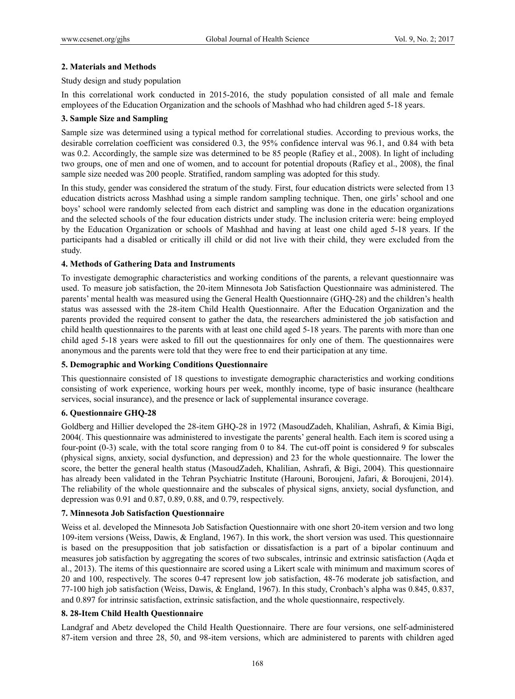## **2. Materials and Methods**

#### Study design and study population

In this correlational work conducted in 2015-2016, the study population consisted of all male and female employees of the Education Organization and the schools of Mashhad who had children aged 5-18 years.

## **3. Sample Size and Sampling**

Sample size was determined using a typical method for correlational studies. According to previous works, the desirable correlation coefficient was considered 0.3, the 95% confidence interval was 96.1, and 0.84 with beta was 0.2. Accordingly, the sample size was determined to be 85 people (Rafiey et al., 2008). In light of including two groups, one of men and one of women, and to account for potential dropouts (Rafiey et al., 2008), the final sample size needed was 200 people. Stratified, random sampling was adopted for this study.

In this study, gender was considered the stratum of the study. First, four education districts were selected from 13 education districts across Mashhad using a simple random sampling technique. Then, one girls' school and one boys' school were randomly selected from each district and sampling was done in the education organizations and the selected schools of the four education districts under study. The inclusion criteria were: being employed by the Education Organization or schools of Mashhad and having at least one child aged 5-18 years. If the participants had a disabled or critically ill child or did not live with their child, they were excluded from the study.

# **4. Methods of Gathering Data and Instruments**

To investigate demographic characteristics and working conditions of the parents, a relevant questionnaire was used. To measure job satisfaction, the 20-item Minnesota Job Satisfaction Questionnaire was administered. The parents' mental health was measured using the General Health Questionnaire (GHQ-28) and the children's health status was assessed with the 28-item Child Health Questionnaire. After the Education Organization and the parents provided the required consent to gather the data, the researchers administered the job satisfaction and child health questionnaires to the parents with at least one child aged 5-18 years. The parents with more than one child aged 5-18 years were asked to fill out the questionnaires for only one of them. The questionnaires were anonymous and the parents were told that they were free to end their participation at any time.

#### **5. Demographic and Working Conditions Questionnaire**

This questionnaire consisted of 18 questions to investigate demographic characteristics and working conditions consisting of work experience, working hours per week, monthly income, type of basic insurance (healthcare services, social insurance), and the presence or lack of supplemental insurance coverage.

# **6. Questionnaire GHQ-28**

Goldberg and Hillier developed the 28-item GHQ-28 in 1972 (MasoudZadeh, Khalilian, Ashrafi, & Kimia Bigi, 2004(. This questionnaire was administered to investigate the parents' general health. Each item is scored using a four-point (0-3) scale, with the total score ranging from 0 to 84. The cut-off point is considered 9 for subscales (physical signs, anxiety, social dysfunction, and depression) and 23 for the whole questionnaire. The lower the score, the better the general health status (MasoudZadeh, Khalilian, Ashrafi, & Bigi, 2004). This questionnaire has already been validated in the Tehran Psychiatric Institute (Harouni, Boroujeni, Jafari, & Boroujeni, 2014). The reliability of the whole questionnaire and the subscales of physical signs, anxiety, social dysfunction, and depression was 0.91 and 0.87, 0.89, 0.88, and 0.79, respectively.

#### **7. Minnesota Job Satisfaction Questionnaire**

Weiss et al. developed the Minnesota Job Satisfaction Questionnaire with one short 20-item version and two long 109-item versions (Weiss, Dawis, & England, 1967). In this work, the short version was used. This questionnaire is based on the presupposition that job satisfaction or dissatisfaction is a part of a bipolar continuum and measures job satisfaction by aggregating the scores of two subscales, intrinsic and extrinsic satisfaction (Aqda et al., 2013). The items of this questionnaire are scored using a Likert scale with minimum and maximum scores of 20 and 100, respectively. The scores 0-47 represent low job satisfaction, 48-76 moderate job satisfaction, and 77-100 high job satisfaction (Weiss, Dawis, & England, 1967). In this study, Cronbach's alpha was 0.845, 0.837, and 0.897 for intrinsic satisfaction, extrinsic satisfaction, and the whole questionnaire, respectively.

#### **8. 28-Item Child Health Questionnaire**

Landgraf and Abetz developed the Child Health Questionnaire. There are four versions, one self-administered 87-item version and three 28, 50, and 98-item versions, which are administered to parents with children aged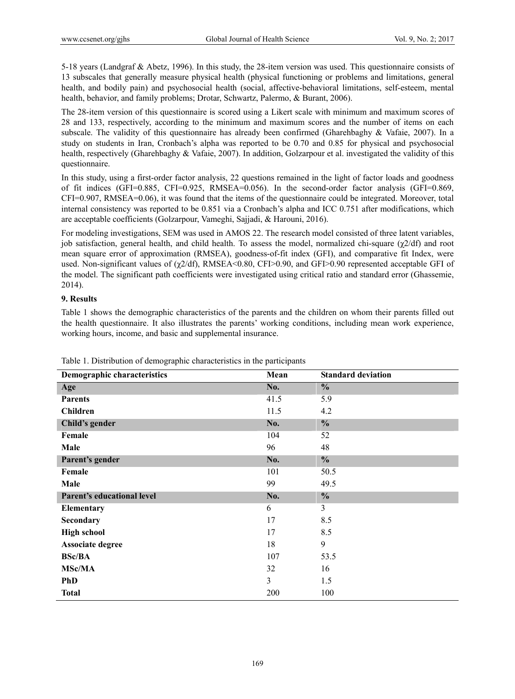5-18 years (Landgraf & Abetz, 1996). In this study, the 28-item version was used. This questionnaire consists of 13 subscales that generally measure physical health (physical functioning or problems and limitations, general health, and bodily pain) and psychosocial health (social, affective-behavioral limitations, self-esteem, mental health, behavior, and family problems; Drotar, Schwartz, Palermo, & Burant, 2006).

The 28-item version of this questionnaire is scored using a Likert scale with minimum and maximum scores of 28 and 133, respectively, according to the minimum and maximum scores and the number of items on each subscale. The validity of this questionnaire has already been confirmed (Gharehbaghy & Vafaie, 2007). In a study on students in Iran, Cronbach's alpha was reported to be 0.70 and 0.85 for physical and psychosocial health, respectively (Gharehbaghy & Vafaie, 2007). In addition, Golzarpour et al. investigated the validity of this questionnaire.

In this study, using a first-order factor analysis, 22 questions remained in the light of factor loads and goodness of fit indices (GFI=0.885, CFI=0.925, RMSEA=0.056). In the second-order factor analysis (GFI=0.869, CFI=0.907, RMSEA=0.06), it was found that the items of the questionnaire could be integrated. Moreover, total internal consistency was reported to be 0.851 via a Cronbach's alpha and ICC 0.751 after modifications, which are acceptable coefficients (Golzarpour, Vameghi, Sajjadi, & Harouni, 2016).

For modeling investigations, SEM was used in AMOS 22. The research model consisted of three latent variables, job satisfaction, general health, and child health. To assess the model, normalized chi-square (χ2/df) and root mean square error of approximation (RMSEA), goodness-of-fit index (GFI), and comparative fit Index, were used. Non-significant values of (χ2/df), RMSEA<0.80, CFI>0.90, and GFI>0.90 represented acceptable GFI of the model. The significant path coefficients were investigated using critical ratio and standard error (Ghassemie, 2014).

## **9. Results**

Table 1 shows the demographic characteristics of the parents and the children on whom their parents filled out the health questionnaire. It also illustrates the parents' working conditions, including mean work experience, working hours, income, and basic and supplemental insurance.

| <b>Demographic characteristics</b> | Mean | <b>Standard deviation</b> |
|------------------------------------|------|---------------------------|
| Age                                | No.  | $\frac{0}{0}$             |
| <b>Parents</b>                     | 41.5 | 5.9                       |
| <b>Children</b>                    | 11.5 | 4.2                       |
| Child's gender                     | No.  | $\frac{0}{0}$             |
| Female                             | 104  | 52                        |
| Male                               | 96   | 48                        |
| Parent's gender                    | No.  | $\frac{0}{0}$             |
| Female                             | 101  | 50.5                      |
| Male                               | 99   | 49.5                      |
| Parent's educational level         | No.  | $\frac{0}{0}$             |
| Elementary                         | 6    | 3                         |
| Secondary                          | 17   | 8.5                       |
| <b>High school</b>                 | 17   | 8.5                       |
| Associate degree                   | 18   | 9                         |
| <b>BSc/BA</b>                      | 107  | 53.5                      |
| <b>MSc/MA</b>                      | 32   | 16                        |
| <b>PhD</b>                         | 3    | 1.5                       |
| <b>Total</b>                       | 200  | 100                       |

Table 1. Distribution of demographic characteristics in the participants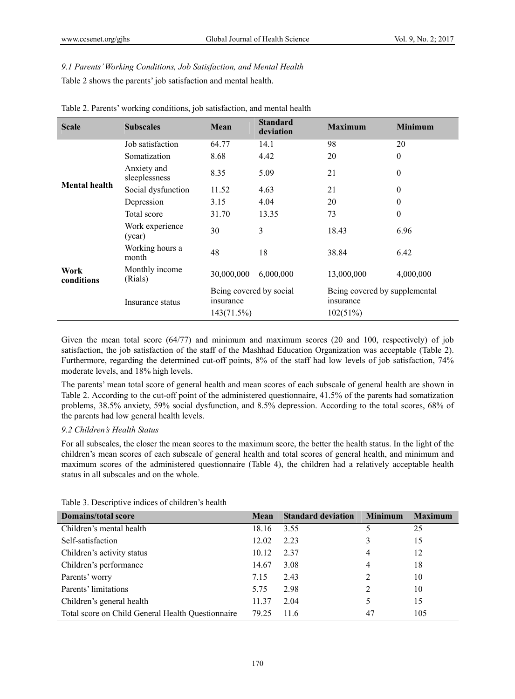# *9.1 Parents' Working Conditions, Job Satisfaction, and Mental Health*  Table 2 shows the parents' job satisfaction and mental health.

| <b>Scale</b>         | <b>Subscales</b>             | Mean                                 | <b>Standard</b><br>deviation | <b>Maximum</b>                             | <b>Minimum</b> |  |
|----------------------|------------------------------|--------------------------------------|------------------------------|--------------------------------------------|----------------|--|
|                      | Job satisfaction             | 64.77                                | 14.1                         | 98                                         | 20             |  |
|                      | Somatization                 | 8.68                                 | 4.42                         | 20                                         | $\overline{0}$ |  |
|                      | Anxiety and<br>sleeplessness | 8.35                                 | 5.09                         | 21                                         | $\overline{0}$ |  |
| <b>Mental health</b> | Social dysfunction           | 11.52                                | 4.63                         | 21                                         | $\theta$       |  |
|                      | Depression                   | 3.15                                 | 4.04                         | 20                                         | $\overline{0}$ |  |
|                      | Total score                  | 31.70                                | 13.35                        | 73                                         | $\overline{0}$ |  |
|                      | Work experience<br>(year)    | 30                                   | 3                            | 18.43                                      | 6.96           |  |
| Work<br>conditions   | Working hours a<br>month     | 48                                   | 18                           | 38.84                                      | 6.42           |  |
|                      | Monthly income<br>(Rials)    | 30,000,000                           | 6,000,000                    | 13,000,000                                 | 4,000,000      |  |
|                      | Insurance status             | Being covered by social<br>insurance |                              | Being covered by supplemental<br>insurance |                |  |
|                      |                              | 143(71.5%)                           |                              | 102(51%)                                   |                |  |

Table 2. Parents' working conditions, job satisfaction, and mental health

Given the mean total score (64/77) and minimum and maximum scores (20 and 100, respectively) of job satisfaction, the job satisfaction of the staff of the Mashhad Education Organization was acceptable (Table 2). Furthermore, regarding the determined cut-off points, 8% of the staff had low levels of job satisfaction, 74% moderate levels, and 18% high levels.

The parents' mean total score of general health and mean scores of each subscale of general health are shown in Table 2. According to the cut-off point of the administered questionnaire, 41.5% of the parents had somatization problems, 38.5% anxiety, 59% social dysfunction, and 8.5% depression. According to the total scores, 68% of the parents had low general health levels.

## *9.2 Children's Health Status*

For all subscales, the closer the mean scores to the maximum score, the better the health status. In the light of the children's mean scores of each subscale of general health and total scores of general health, and minimum and maximum scores of the administered questionnaire (Table 4), the children had a relatively acceptable health status in all subscales and on the whole.

| <b>Domains/total score</b>                        | Mean  | <b>Standard deviation</b> | <b>Minimum</b> | <b>Maximum</b> |
|---------------------------------------------------|-------|---------------------------|----------------|----------------|
| Children's mental health                          | 18.16 | 3.55                      |                | 25             |
| Self-satisfaction                                 | 12.02 | 2.23                      |                | 15             |
| Children's activity status                        | 10.12 | 2.37                      | 4              | 12             |
| Children's performance                            | 14.67 | 3.08                      | 4              | 18             |
| Parents' worry                                    | 7.15  | 2.43                      | 2              | 10             |
| Parents' limitations                              | 5.75  | 2.98                      | 2              | 10             |
| Children's general health                         | 11.37 | 2.04                      |                | 15             |
| Total score on Child General Health Questionnaire | 79.25 | 11.6                      | 47             | 105            |

Table 3. Descriptive indices of children's health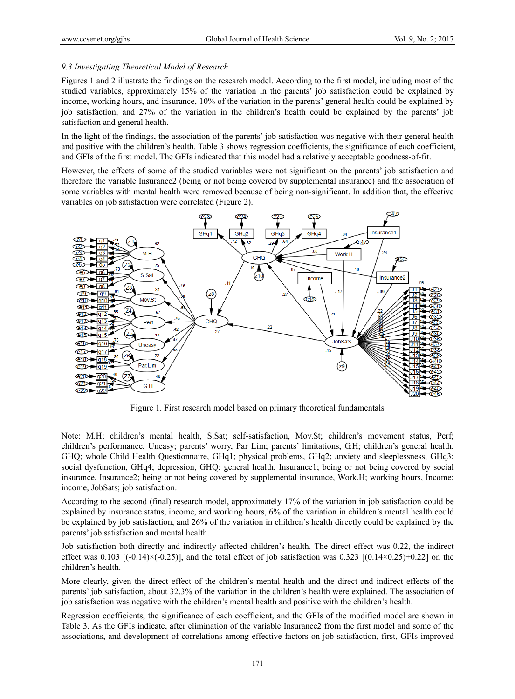#### *9.3 Investigating Theoretical Model of Research*

Figures 1 and 2 illustrate the findings on the research model. According to the first model, including most of the studied variables, approximately 15% of the variation in the parents' job satisfaction could be explained by income, working hours, and insurance, 10% of the variation in the parents' general health could be explained by job satisfaction, and 27% of the variation in the children's health could be explained by the parents' job satisfaction and general health.

In the light of the findings, the association of the parents' job satisfaction was negative with their general health and positive with the children's health. Table 3 shows regression coefficients, the significance of each coefficient, and GFIs of the first model. The GFIs indicated that this model had a relatively acceptable goodness-of-fit.

However, the effects of some of the studied variables were not significant on the parents' job satisfaction and therefore the variable Insurance2 (being or not being covered by supplemental insurance) and the association of some variables with mental health were removed because of being non-significant. In addition that, the effective variables on job satisfaction were correlated (Figure 2).



Figure 1. First research model based on primary theoretical fundamentals

Note: M.H; children's mental health, S.Sat; self-satisfaction, Mov.St; children's movement status, Perf; children's performance, Uneasy; parents' worry, Par Lim; parents' limitations, G.H; children's general health, GHQ; whole Child Health Questionnaire, GHq1; physical problems, GHq2; anxiety and sleeplessness, GHq3; social dysfunction, GHq4; depression, GHQ; general health, Insurance1; being or not being covered by social insurance, Insurance2; being or not being covered by supplemental insurance, Work.H; working hours, Income; income, JobSats; job satisfaction.

According to the second (final) research model, approximately 17% of the variation in job satisfaction could be explained by insurance status, income, and working hours, 6% of the variation in children's mental health could be explained by job satisfaction, and 26% of the variation in children's health directly could be explained by the parents' job satisfaction and mental health.

Job satisfaction both directly and indirectly affected children's health. The direct effect was 0.22, the indirect effect was  $0.103$  [(-0.14)×(-0.25)], and the total effect of job satisfaction was  $0.323$  [(0.14×0.25)+0.22] on the children's health.

More clearly, given the direct effect of the children's mental health and the direct and indirect effects of the parents' job satisfaction, about 32.3% of the variation in the children's health were explained. The association of job satisfaction was negative with the children's mental health and positive with the children's health.

Regression coefficients, the significance of each coefficient, and the GFIs of the modified model are shown in Table 3. As the GFIs indicate, after elimination of the variable Insurance2 from the first model and some of the associations, and development of correlations among effective factors on job satisfaction, first, GFIs improved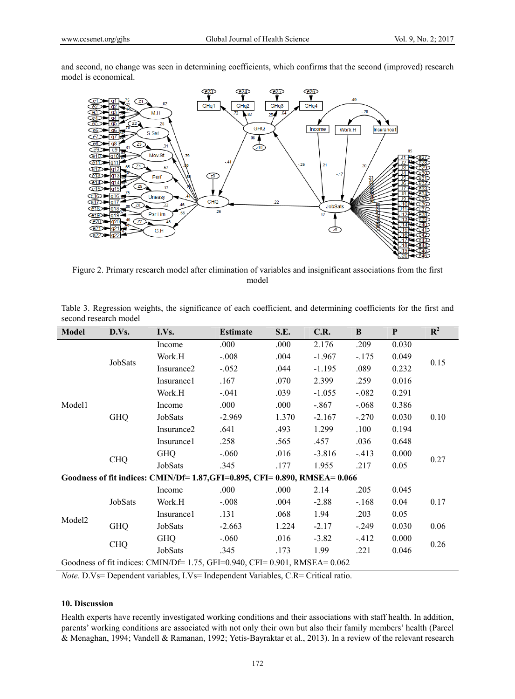and second, no change was seen in determining coefficients, which confirms that the second (improved) research model is economical.



Figure 2. Primary research model after elimination of variables and insignificant associations from the first model

| <b>Model</b>                                                                 | D.Vs.      | I.Vs.                  | <b>Estimate</b> | S.E.  | C.R.     | B       | P     | $\mathbb{R}^2$ |
|------------------------------------------------------------------------------|------------|------------------------|-----------------|-------|----------|---------|-------|----------------|
|                                                                              | JobSats    | Income                 | .000            | .000  | 2.176    | .209    | 0.030 | 0.15           |
|                                                                              |            | Work.H                 | $-.008$         | .004  | $-1.967$ | $-175$  | 0.049 |                |
|                                                                              |            | Insurance <sub>2</sub> | $-0.052$        | .044  | $-1.195$ | .089    | 0.232 |                |
|                                                                              |            | Insurance1             | .167            | .070  | 2.399    | .259    | 0.016 |                |
|                                                                              |            | Work.H                 | $-.041$         | .039  | $-1.055$ | $-.082$ | 0.291 |                |
| Model1                                                                       |            | Income                 | .000            | .000  | $-.867$  | $-.068$ | 0.386 |                |
|                                                                              | <b>GHQ</b> | JobSats                | $-2.969$        | 1.370 | $-2.167$ | $-.270$ | 0.030 | 0.10           |
|                                                                              |            | Insurance <sub>2</sub> | .641            | .493  | 1.299    | .100    | 0.194 |                |
|                                                                              |            | Insurance1             | .258            | .565  | .457     | .036    | 0.648 |                |
|                                                                              | <b>CHQ</b> | <b>GHQ</b>             | $-.060$         | .016  | $-3.816$ | $-413$  | 0.000 | 0.27           |
|                                                                              |            | JobSats                | .345            | .177  | 1.955    | .217    | 0.05  |                |
| Goodness of fit indices: CMIN/Df= 1.87, GFI=0.895, CFI=0.890, RMSEA=0.066    |            |                        |                 |       |          |         |       |                |
|                                                                              | JobSats    | Income                 | .000            | .000  | 2.14     | .205    | 0.045 |                |
| Model <sub>2</sub>                                                           |            | Work.H                 | $-.008$         | .004  | $-2.88$  | $-.168$ | 0.04  | 0.17           |
|                                                                              |            | Insurance1             | .131            | .068  | 1.94     | .203    | 0.05  |                |
|                                                                              | <b>GHQ</b> | JobSats                | $-2.663$        | 1.224 | $-2.17$  | $-.249$ | 0.030 | 0.06           |
|                                                                              | <b>CHQ</b> | <b>GHQ</b>             | $-.060$         | .016  | $-3.82$  | $-412$  | 0.000 | 0.26           |
|                                                                              |            | JobSats                | .345            | .173  | 1.99     | .221    | 0.046 |                |
| Goodness of fit indices: CMIN/Df= $1.75$ , GFI=0.940, CFI=0.901, RMSEA=0.062 |            |                        |                 |       |          |         |       |                |

| Table 3. Regression weights, the significance of each coefficient, and determining coefficients for the first and |  |  |  |  |
|-------------------------------------------------------------------------------------------------------------------|--|--|--|--|
| second research model                                                                                             |  |  |  |  |

*Note.* D.Vs= Dependent variables, I.Vs= Independent Variables, C.R= Critical ratio.

## **10. Discussion**

Health experts have recently investigated working conditions and their associations with staff health. In addition, parents' working conditions are associated with not only their own but also their family members' health (Parcel & Menaghan, 1994; Vandell & Ramanan, 1992; Yetis-Bayraktar et al., 2013). In a review of the relevant research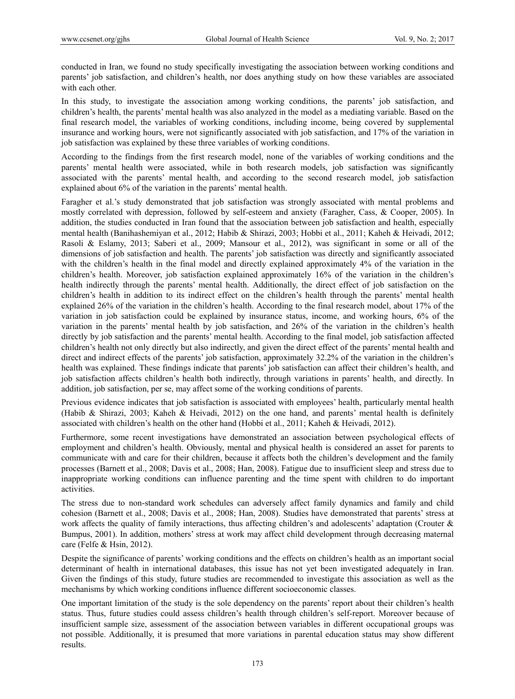conducted in Iran, we found no study specifically investigating the association between working conditions and parents' job satisfaction, and children's health, nor does anything study on how these variables are associated with each other.

In this study, to investigate the association among working conditions, the parents' job satisfaction, and children's health, the parents' mental health was also analyzed in the model as a mediating variable. Based on the final research model, the variables of working conditions, including income, being covered by supplemental insurance and working hours, were not significantly associated with job satisfaction, and 17% of the variation in job satisfaction was explained by these three variables of working conditions.

According to the findings from the first research model, none of the variables of working conditions and the parents' mental health were associated, while in both research models, job satisfaction was significantly associated with the parents' mental health, and according to the second research model, job satisfaction explained about 6% of the variation in the parents' mental health.

Faragher et al.'s study demonstrated that job satisfaction was strongly associated with mental problems and mostly correlated with depression, followed by self-esteem and anxiety (Faragher, Cass, & Cooper, 2005). In addition, the studies conducted in Iran found that the association between job satisfaction and health, especially mental health (Banihashemiyan et al., 2012; Habib & Shirazi, 2003; Hobbi et al., 2011; Kaheh & Heivadi, 2012; Rasoli & Eslamy, 2013; Saberi et al., 2009; Mansour et al., 2012), was significant in some or all of the dimensions of job satisfaction and health. The parents' job satisfaction was directly and significantly associated with the children's health in the final model and directly explained approximately 4% of the variation in the children's health. Moreover, job satisfaction explained approximately 16% of the variation in the children's health indirectly through the parents' mental health. Additionally, the direct effect of job satisfaction on the children's health in addition to its indirect effect on the children's health through the parents' mental health explained 26% of the variation in the children's health. According to the final research model, about 17% of the variation in job satisfaction could be explained by insurance status, income, and working hours, 6% of the variation in the parents' mental health by job satisfaction, and 26% of the variation in the children's health directly by job satisfaction and the parents' mental health. According to the final model, job satisfaction affected children's health not only directly but also indirectly, and given the direct effect of the parents' mental health and direct and indirect effects of the parents' job satisfaction, approximately 32.2% of the variation in the children's health was explained. These findings indicate that parents' job satisfaction can affect their children's health, and job satisfaction affects children's health both indirectly, through variations in parents' health, and directly. In addition, job satisfaction, per se, may affect some of the working conditions of parents.

Previous evidence indicates that job satisfaction is associated with employees' health, particularly mental health (Habib & Shirazi, 2003; Kaheh & Heivadi, 2012) on the one hand, and parents' mental health is definitely associated with children's health on the other hand (Hobbi et al., 2011; Kaheh & Heivadi, 2012).

Furthermore, some recent investigations have demonstrated an association between psychological effects of employment and children's health. Obviously, mental and physical health is considered an asset for parents to communicate with and care for their children, because it affects both the children's development and the family processes (Barnett et al., 2008; Davis et al., 2008; Han, 2008). Fatigue due to insufficient sleep and stress due to inappropriate working conditions can influence parenting and the time spent with children to do important activities.

The stress due to non-standard work schedules can adversely affect family dynamics and family and child cohesion (Barnett et al., 2008; Davis et al., 2008; Han, 2008). Studies have demonstrated that parents' stress at work affects the quality of family interactions, thus affecting children's and adolescents' adaptation (Crouter  $\&$ Bumpus, 2001). In addition, mothers' stress at work may affect child development through decreasing maternal care (Felfe & Hsin, 2012).

Despite the significance of parents' working conditions and the effects on children's health as an important social determinant of health in international databases, this issue has not yet been investigated adequately in Iran. Given the findings of this study, future studies are recommended to investigate this association as well as the mechanisms by which working conditions influence different socioeconomic classes.

One important limitation of the study is the sole dependency on the parents' report about their children's health status. Thus, future studies could assess children's health through children's self-report. Moreover because of insufficient sample size, assessment of the association between variables in different occupational groups was not possible. Additionally, it is presumed that more variations in parental education status may show different results.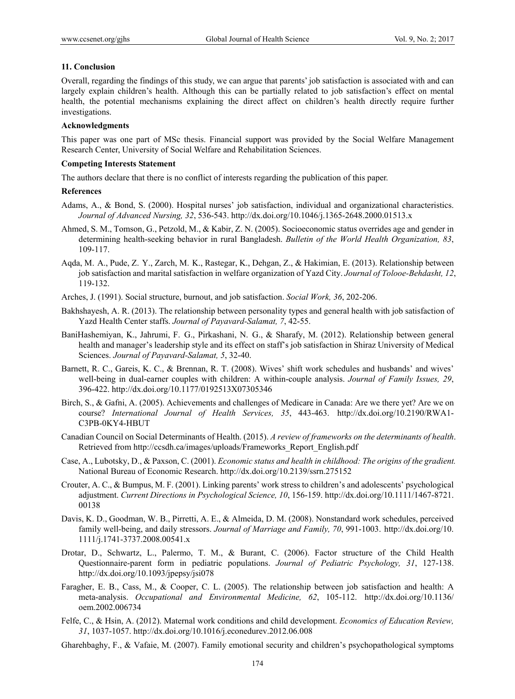#### **11. Conclusion**

Overall, regarding the findings of this study, we can argue that parents' job satisfaction is associated with and can largely explain children's health. Although this can be partially related to job satisfaction's effect on mental health, the potential mechanisms explaining the direct affect on children's health directly require further investigations.

#### **Acknowledgments**

This paper was one part of MSc thesis. Financial support was provided by the Social Welfare Management Research Center, University of Social Welfare and Rehabilitation Sciences.

#### **Competing Interests Statement**

The authors declare that there is no conflict of interests regarding the publication of this paper.

#### **References**

- Adams, A., & Bond, S. (2000). Hospital nurses' job satisfaction, individual and organizational characteristics. *Journal of Advanced Nursing, 32*, 536-543. http://dx.doi.org/10.1046/j.1365-2648.2000.01513.x
- Ahmed, S. M., Tomson, G., Petzold, M., & Kabir, Z. N. (2005). Socioeconomic status overrides age and gender in determining health-seeking behavior in rural Bangladesh. *Bulletin of the World Health Organization, 83*, 109-117.
- Aqda, M. A., Pude, Z. Y., Zarch, M. K., Rastegar, K., Dehgan, Z., & Hakimian, E. (2013). Relationship between job satisfaction and marital satisfaction in welfare organization of Yazd City. *Journal of Tolooe-Behdasht, 12*, 119-132.
- Arches, J. (1991). Social structure, burnout, and job satisfaction. *Social Work, 36*, 202-206.
- Bakhshayesh, A. R. (2013). The relationship between personality types and general health with job satisfaction of Yazd Health Center staffs. *Journal of Payavard-Salamat, 7*, 42-55.
- BaniHashemiyan, K., Jahrumi, F. G., Pirkashani, N. G., & Sharafy, M. (2012). Relationship between general health and manager's leadership style and its effect on staff's job satisfaction in Shiraz University of Medical Sciences. *Journal of Payavard-Salamat, 5*, 32-40.
- Barnett, R. C., Gareis, K. C., & Brennan, R. T. (2008). Wives' shift work schedules and husbands' and wives' well-being in dual-earner couples with children: A within-couple analysis. *Journal of Family Issues, 29*, 396-422. http://dx.doi.org/10.1177/0192513X07305346
- Birch, S., & Gafni, A. (2005). Achievements and challenges of Medicare in Canada: Are we there yet? Are we on course? *International Journal of Health Services, 35*, 443-463. http://dx.doi.org/10.2190/RWA1- C3PB-0KY4-HBUT
- Canadian Council on Social Determinants of Health. (2015). *A review of frameworks on the determinants of health*. Retrieved from http://ccsdh.ca/images/uploads/Frameworks\_Report\_English.pdf
- Case, A., Lubotsky, D., & Paxson, C. (2001). *Economic status and health in childhood: The origins of the gradient.* National Bureau of Economic Research. http://dx.doi.org/10.2139/ssrn.275152
- Crouter, A. C., & Bumpus, M. F. (2001). Linking parents' work stress to children's and adolescents' psychological adjustment. *Current Directions in Psychological Science, 10*, 156-159. http://dx.doi.org/10.1111/1467-8721. 00138
- Davis, K. D., Goodman, W. B., Pirretti, A. E., & Almeida, D. M. (2008). Nonstandard work schedules, perceived family well-being, and daily stressors. *Journal of Marriage and Family, 70*, 991-1003. http://dx.doi.org/10. 1111/j.1741-3737.2008.00541.x
- Drotar, D., Schwartz, L., Palermo, T. M., & Burant, C. (2006). Factor structure of the Child Health Questionnaire-parent form in pediatric populations. *Journal of Pediatric Psychology, 31*, 127-138. http://dx.doi.org/10.1093/jpepsy/jsi078
- Faragher, E. B., Cass, M., & Cooper, C. L. (2005). The relationship between job satisfaction and health: A meta-analysis. *Occupational and Environmental Medicine, 62*, 105-112. http://dx.doi.org/10.1136/ oem.2002.006734
- Felfe, C., & Hsin, A. (2012). Maternal work conditions and child development. *Economics of Education Review, 31*, 1037-1057. http://dx.doi.org/10.1016/j.econedurev.2012.06.008
- Gharehbaghy, F., & Vafaie, M. (2007). Family emotional security and children's psychopathological symptoms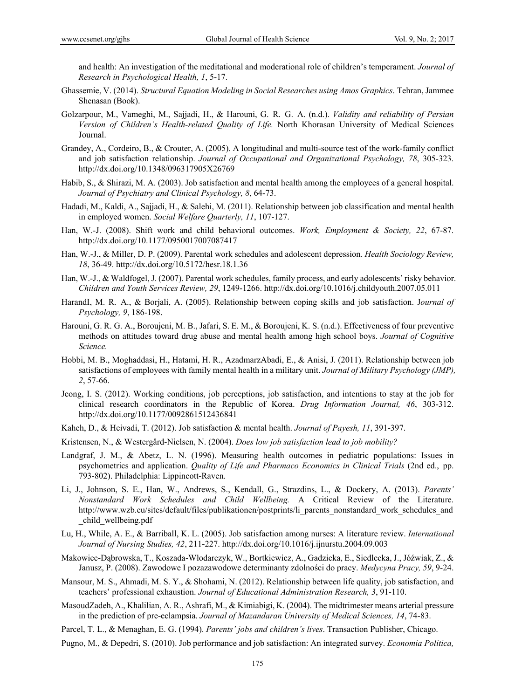and health: An investigation of the meditational and moderational role of children's temperament. *Journal of Research in Psychological Health, 1*, 5-17.

- Ghassemie, V. (2014). *Structural Equation Modeling in Social Researches using Amos Graphics*. Tehran, Jammee Shenasan (Book).
- Golzarpour, M., Vameghi, M., Sajjadi, H., & Harouni, G. R. G. A. (n.d.). *Validity and reliability of Persian Version of Children's Health-related Quality of Life.* North Khorasan University of Medical Sciences Journal.
- Grandey, A., Cordeiro, B., & Crouter, A. (2005). A longitudinal and multi-source test of the work-family conflict and job satisfaction relationship. *Journal of Occupational and Organizational Psychology, 78*, 305-323. http://dx.doi.org/10.1348/096317905X26769
- Habib, S., & Shirazi, M. A. (2003). Job satisfaction and mental health among the employees of a general hospital. *Journal of Psychiatry and Clinical Psychology, 8*, 64-73.
- Hadadi, M., Kaldi, A., Sajjadi, H., & Salehi, M. (2011). Relationship between job classification and mental health in employed women. *Social Welfare Quarterly, 11*, 107-127.
- Han, W.-J. (2008). Shift work and child behavioral outcomes. *Work, Employment & Society, 22*, 67-87. http://dx.doi.org/10.1177/0950017007087417
- Han, W.-J., & Miller, D. P. (2009). Parental work schedules and adolescent depression. *Health Sociology Review, 18*, 36-49. http://dx.doi.org/10.5172/hesr.18.1.36
- Han, W.-J., & Waldfogel, J. (2007). Parental work schedules, family process, and early adolescents' risky behavior. *Children and Youth Services Review, 29*, 1249-1266. http://dx.doi.org/10.1016/j.childyouth.2007.05.011
- HarandI, M. R. A., & Borjali, A. (2005). Relationship between coping skills and job satisfaction. J*ournal of Psychology, 9*, 186-198.
- Harouni, G. R. G. A., Boroujeni, M. B., Jafari, S. E. M., & Boroujeni, K. S. (n.d.). Effectiveness of four preventive methods on attitudes toward drug abuse and mental health among high school boys. *Journal of Cognitive Science.*
- Hobbi, M. B., Moghaddasi, H., Hatami, H. R., AzadmarzAbadi, E., & Anisi, J. (2011). Relationship between job satisfactions of employees with family mental health in a military unit. *Journal of Military Psychology (JMP), 2*, 57-66.
- Jeong, I. S. (2012). Working conditions, job perceptions, job satisfaction, and intentions to stay at the job for clinical research coordinators in the Republic of Korea. *Drug Information Journal, 46*, 303-312. http://dx.doi.org/10.1177/0092861512436841
- Kaheh, D., & Heivadi, T. (2012). Job satisfaction & mental health. *Journal of Payesh, 11*, 391-397.
- Kristensen, N., & Westergård-Nielsen, N. (2004). *Does low job satisfaction lead to job mobility?*
- Landgraf, J. M., & Abetz, L. N. (1996). Measuring health outcomes in pediatric populations: Issues in psychometrics and application. *Quality of Life and Pharmaco Economics in Clinical Trials* (2nd ed., pp. 793-802). Philadelphia: Lippincott-Raven.
- Li, J., Johnson, S. E., Han, W., Andrews, S., Kendall, G., Strazdins, L., & Dockery, A. (2013). *Parents' Nonstandard Work Schedules and Child Wellbeing.* A Critical Review of the Literature. http://www.wzb.eu/sites/default/files/publikationen/postprints/li\_parents\_nonstandard\_work\_schedules\_and \_child\_wellbeing.pdf
- Lu, H., While, A. E., & Barriball, K. L. (2005). Job satisfaction among nurses: A literature review. *International Journal of Nursing Studies, 42*, 211-227. http://dx.doi.org/10.1016/j.ijnurstu.2004.09.003
- Makowiec-Dąbrowska, T., Koszada-Włodarczyk, W., Bortkiewicz, A., Gadzicka, E., Siedlecka, J., Jóźwiak, Z., & Janusz, P. (2008). Zawodowe I pozazawodowe determinanty zdolności do pracy. *Medycyna Pracy, 59*, 9-24.
- Mansour, M. S., Ahmadi, M. S. Y., & Shohami, N. (2012). Relationship between life quality, job satisfaction, and teachers' professional exhaustion. *Journal of Educational Administration Research, 3*, 91-110.
- MasoudZadeh, A., Khalilian, A. R., Ashrafi, M., & Kimiabigi, K. (2004). The midtrimester means arterial pressure in the prediction of pre-eclampsia. *Journal of Mazandaran University of Medical Sciences, 14*, 74-83.
- Parcel, T. L., & Menaghan, E. G. (1994). *Parents' jobs and children's lives*. Transaction Publisher, Chicago.
- Pugno, M., & Depedri, S. (2010). Job performance and job satisfaction: An integrated survey. *Economia Politica,*